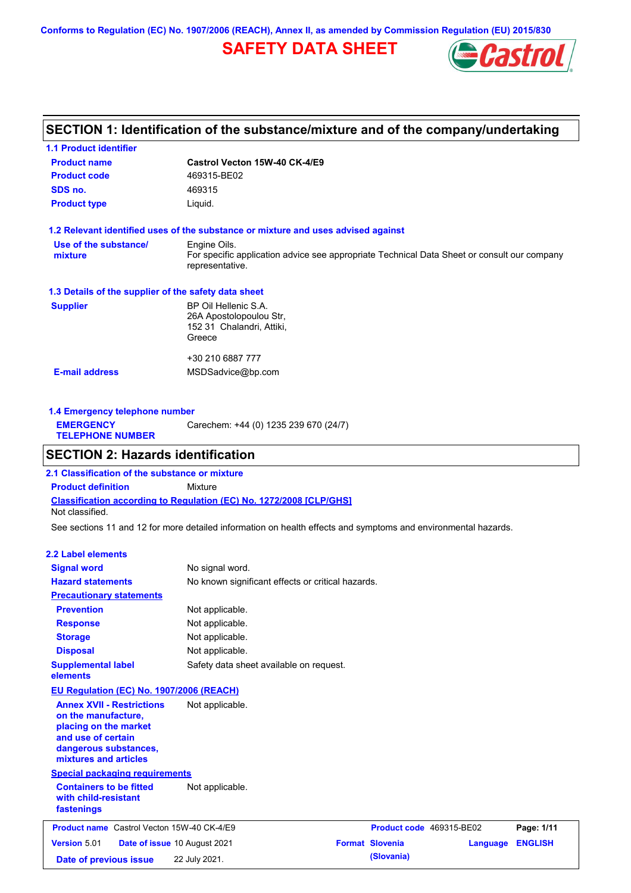**Conforms to Regulation (EC) No. 1907/2006 (REACH), Annex II, as amended by Commission Regulation (EU) 2015/830**

# **SAFETY DATA SHEET**



# **SECTION 1: Identification of the substance/mixture and of the company/undertaking**

| <b>1.1 Product identifier</b>                        |                                                                                                                |
|------------------------------------------------------|----------------------------------------------------------------------------------------------------------------|
| <b>Product name</b>                                  | Castrol Vecton 15W-40 CK-4/E9                                                                                  |
| <b>Product code</b>                                  | 469315-BE02                                                                                                    |
| SDS no.                                              | 469315                                                                                                         |
| <b>Product type</b>                                  | Liquid.                                                                                                        |
|                                                      | 1.2 Relevant identified uses of the substance or mixture and uses advised against                              |
| Use of the substance/                                | Engine Oils.                                                                                                   |
| mixture                                              | For specific application advice see appropriate Technical Data Sheet or consult our company<br>representative. |
| 1.3 Details of the supplier of the safety data sheet |                                                                                                                |
| <b>Supplier</b>                                      | BP Oil Hellenic S.A.                                                                                           |
|                                                      | 26A Apostolopoulou Str,                                                                                        |
|                                                      | 152 31 Chalandri, Attiki,                                                                                      |
|                                                      | Greece                                                                                                         |
|                                                      | +30 210 6887 777                                                                                               |
| <b>E-mail address</b>                                | MSDSadvice@bp.com                                                                                              |
|                                                      |                                                                                                                |
|                                                      |                                                                                                                |

| 1.4 Emergency telephone number              |                                       |  |  |  |
|---------------------------------------------|---------------------------------------|--|--|--|
| <b>EMERGENCY</b><br><b>TELEPHONE NUMBER</b> | Carechem: +44 (0) 1235 239 670 (24/7) |  |  |  |

## **SECTION 2: Hazards identification**

**Classification according to Regulation (EC) No. 1272/2008 [CLP/GHS] 2.1 Classification of the substance or mixture Product definition** Mixture Not classified.

See sections 11 and 12 for more detailed information on health effects and symptoms and environmental hazards.

### **2.2 Label elements**

| <b>Signal word</b>                                                                                                                                       | No signal word.                                   |                          |          |                |
|----------------------------------------------------------------------------------------------------------------------------------------------------------|---------------------------------------------------|--------------------------|----------|----------------|
| <b>Hazard statements</b>                                                                                                                                 | No known significant effects or critical hazards. |                          |          |                |
| <b>Precautionary statements</b>                                                                                                                          |                                                   |                          |          |                |
| <b>Prevention</b>                                                                                                                                        | Not applicable.                                   |                          |          |                |
| <b>Response</b>                                                                                                                                          | Not applicable.                                   |                          |          |                |
| <b>Storage</b>                                                                                                                                           | Not applicable.                                   |                          |          |                |
| <b>Disposal</b>                                                                                                                                          | Not applicable.                                   |                          |          |                |
| <b>Supplemental label</b><br>elements                                                                                                                    | Safety data sheet available on request.           |                          |          |                |
| EU Regulation (EC) No. 1907/2006 (REACH)                                                                                                                 |                                                   |                          |          |                |
| <b>Annex XVII - Restrictions</b><br>on the manufacture,<br>placing on the market<br>and use of certain<br>dangerous substances,<br>mixtures and articles | Not applicable.                                   |                          |          |                |
| <b>Special packaging requirements</b>                                                                                                                    |                                                   |                          |          |                |
| <b>Containers to be fitted</b><br>with child-resistant<br>fastenings                                                                                     | Not applicable.                                   |                          |          |                |
| <b>Product name</b> Castrol Vecton 15W-40 CK-4/E9                                                                                                        |                                                   | Product code 469315-BE02 |          | Page: 1/11     |
| <b>Version 5.01</b>                                                                                                                                      | <b>Date of issue 10 August 2021</b>               | <b>Format Slovenia</b>   | Language | <b>ENGLISH</b> |
| Date of previous issue                                                                                                                                   | 22 July 2021.                                     | (Slovania)               |          |                |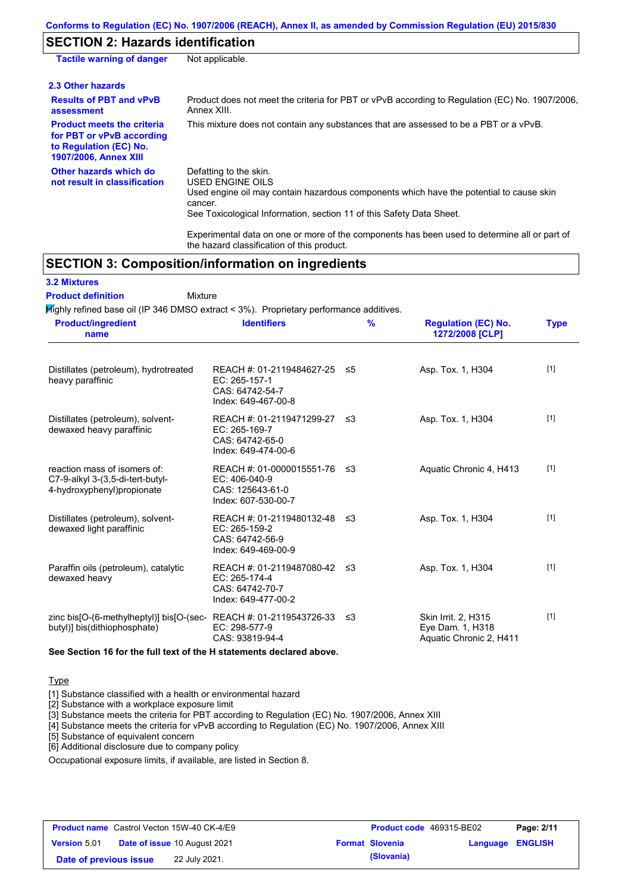# **SECTION 2: Hazards identification**

| <b>Tactile warning of danger</b>                                                                                         | Not applicable.                                                                                                                                                                                                          |
|--------------------------------------------------------------------------------------------------------------------------|--------------------------------------------------------------------------------------------------------------------------------------------------------------------------------------------------------------------------|
| 2.3 Other hazards                                                                                                        |                                                                                                                                                                                                                          |
| <b>Results of PBT and vPvB</b><br>assessment                                                                             | Product does not meet the criteria for PBT or vPvB according to Regulation (EC) No. 1907/2006,<br>Annex XIII.                                                                                                            |
| <b>Product meets the criteria</b><br>for PBT or vPvB according<br>to Regulation (EC) No.<br><b>1907/2006, Annex XIII</b> | This mixture does not contain any substances that are assessed to be a PBT or a vPvB.                                                                                                                                    |
| Other hazards which do<br>not result in classification                                                                   | Defatting to the skin.<br>USED ENGINE OILS<br>Used engine oil may contain hazardous components which have the potential to cause skin<br>cancer.<br>See Toxicological Information, section 11 of this Safety Data Sheet. |
|                                                                                                                          |                                                                                                                                                                                                                          |

Experimental data on one or more of the components has been used to determine all or part of the hazard classification of this product.

# **SECTION 3: Composition/information on ingredients**

Mixture

### **3.2 Mixtures**

**Product definition**

Highly refined base oil (IP 346 DMSO extract < 3%). Proprietary performance additives.

| <b>Product/ingredient</b><br>name                                                              | <b>Identifiers</b>                                                                      | $\frac{9}{6}$ | <b>Regulation (EC) No.</b><br>1272/2008 [CLP]                      | <b>Type</b> |
|------------------------------------------------------------------------------------------------|-----------------------------------------------------------------------------------------|---------------|--------------------------------------------------------------------|-------------|
| Distillates (petroleum), hydrotreated<br>heavy paraffinic                                      | REACH #: 01-2119484627-25<br>EC: 265-157-1<br>CAS: 64742-54-7<br>Index: 649-467-00-8    | - ≤5          | Asp. Tox. 1, H304                                                  | $[1]$       |
| Distillates (petroleum), solvent-<br>dewaxed heavy paraffinic                                  | REACH #: 01-2119471299-27 ≤3<br>EC: 265-169-7<br>CAS: 64742-65-0<br>Index: 649-474-00-6 |               | Asp. Tox. 1, H304                                                  | $[1]$       |
| reaction mass of isomers of:<br>C7-9-alkyl 3-(3,5-di-tert-butyl-<br>4-hydroxyphenyl)propionate | REACH #: 01-0000015551-76<br>EC: 406-040-9<br>CAS: 125643-61-0<br>Index: 607-530-00-7   | ב≥            | Aquatic Chronic 4, H413                                            | $[1]$       |
| Distillates (petroleum), solvent-<br>dewaxed light paraffinic                                  | REACH #: 01-2119480132-48 ≤3<br>EC: 265-159-2<br>CAS: 64742-56-9<br>Index: 649-469-00-9 |               | Asp. Tox. 1, H304                                                  | $[1]$       |
| Paraffin oils (petroleum), catalytic<br>dewaxed heavy                                          | REACH #: 01-2119487080-42 ≤3<br>EC: 265-174-4<br>CAS: 64742-70-7<br>Index: 649-477-00-2 |               | Asp. Tox. 1, H304                                                  | $[1]$       |
| zinc bis[O-(6-methylheptyl)] bis[O-(sec-<br>butyl)] bis(dithiophosphate)                       | REACH #: 01-2119543726-33<br>EC: 298-577-9<br>CAS: 93819-94-4                           | -≤3           | Skin Irrit. 2, H315<br>Eye Dam. 1, H318<br>Aquatic Chronic 2, H411 | $[1]$       |

**See Section 16 for the full text of the H statements declared above.**

#### **Type**

[1] Substance classified with a health or environmental hazard

[2] Substance with a workplace exposure limit

[3] Substance meets the criteria for PBT according to Regulation (EC) No. 1907/2006, Annex XIII

[4] Substance meets the criteria for vPvB according to Regulation (EC) No. 1907/2006, Annex XIII

[5] Substance of equivalent concern

[6] Additional disclosure due to company policy

Occupational exposure limits, if available, are listed in Section 8.

|                        | <b>Product name</b> Castrol Vecton 15W-40 CK-4/E9 | <b>Product code</b> 469315-BE02 |                  | Page: 2/11 |
|------------------------|---------------------------------------------------|---------------------------------|------------------|------------|
| <b>Version 5.01</b>    | <b>Date of issue 10 August 2021</b>               | <b>Format Slovenia</b>          | Language ENGLISH |            |
| Date of previous issue | 22 July 2021.                                     | (Slovania)                      |                  |            |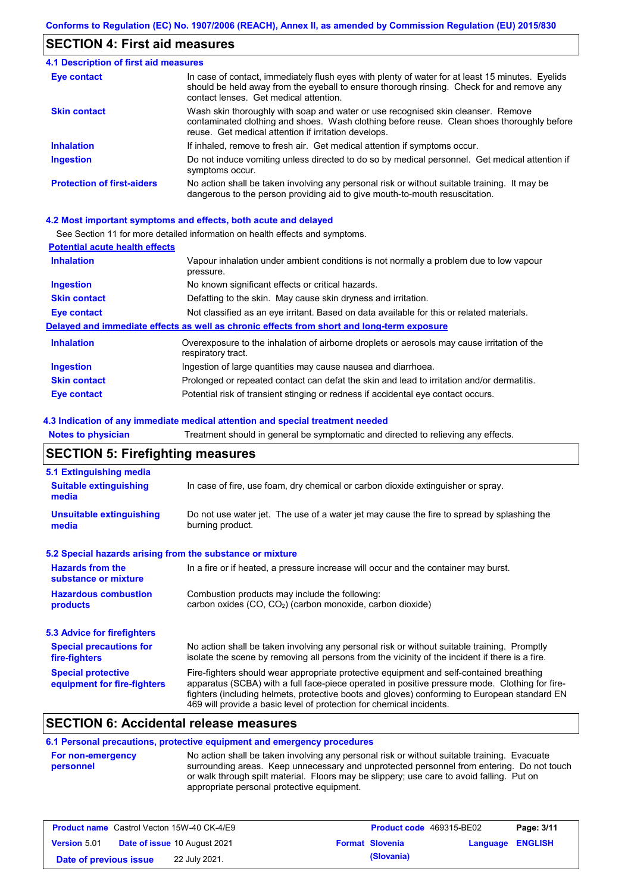### **SECTION 4: First aid measures**

#### Do not induce vomiting unless directed to do so by medical personnel. Get medical attention if symptoms occur. In case of contact, immediately flush eyes with plenty of water for at least 15 minutes. Eyelids should be held away from the eyeball to ensure thorough rinsing. Check for and remove any contact lenses. Get medical attention. **4.1 Description of first aid measures** If inhaled, remove to fresh air. Get medical attention if symptoms occur. **Ingestion Inhalation Eye contact Protection of first-aiders** No action shall be taken involving any personal risk or without suitable training. It may be dangerous to the person providing aid to give mouth-to-mouth resuscitation. **Skin contact** Wash skin thoroughly with soap and water or use recognised skin cleanser. Remove contaminated clothing and shoes. Wash clothing before reuse. Clean shoes thoroughly before reuse. Get medical attention if irritation develops.

#### **4.2 Most important symptoms and effects, both acute and delayed**

See Section 11 for more detailed information on health effects and symptoms.

| See Section 11 for more detailed information on health effects and symptoms.                                      |
|-------------------------------------------------------------------------------------------------------------------|
| <b>Potential acute health effects</b>                                                                             |
| Vapour inhalation under ambient conditions is not normally a problem due to low vapour<br>pressure.               |
| No known significant effects or critical hazards.                                                                 |
| Defatting to the skin. May cause skin dryness and irritation.                                                     |
| Not classified as an eye irritant. Based on data available for this or related materials.                         |
| Delayed and immediate effects as well as chronic effects from short and long-term exposure                        |
| Overexposure to the inhalation of airborne droplets or aerosols may cause irritation of the<br>respiratory tract. |
| Ingestion of large quantities may cause nausea and diarrhoea.                                                     |
| Prolonged or repeated contact can defat the skin and lead to irritation and/or dermatitis.                        |
| Potential risk of transient stinging or redness if accidental eye contact occurs.                                 |
|                                                                                                                   |

#### **4.3 Indication of any immediate medical attention and special treatment needed**

| <b>Notes to physician</b>                                 | Treatment should in general be symptomatic and directed to relieving any effects.                                                                                                                                                                                                                                                                                 |  |  |  |  |
|-----------------------------------------------------------|-------------------------------------------------------------------------------------------------------------------------------------------------------------------------------------------------------------------------------------------------------------------------------------------------------------------------------------------------------------------|--|--|--|--|
| <b>SECTION 5: Firefighting measures</b>                   |                                                                                                                                                                                                                                                                                                                                                                   |  |  |  |  |
| 5.1 Extinguishing media                                   |                                                                                                                                                                                                                                                                                                                                                                   |  |  |  |  |
| <b>Suitable extinguishing</b><br>media                    | In case of fire, use foam, dry chemical or carbon dioxide extinguisher or spray.                                                                                                                                                                                                                                                                                  |  |  |  |  |
| <b>Unsuitable extinguishing</b><br>media                  | Do not use water jet. The use of a water jet may cause the fire to spread by splashing the<br>burning product.                                                                                                                                                                                                                                                    |  |  |  |  |
| 5.2 Special hazards arising from the substance or mixture |                                                                                                                                                                                                                                                                                                                                                                   |  |  |  |  |
| <b>Hazards from the</b><br>substance or mixture           | In a fire or if heated, a pressure increase will occur and the container may burst.                                                                                                                                                                                                                                                                               |  |  |  |  |
| <b>Hazardous combustion</b><br>products                   | Combustion products may include the following:<br>carbon oxides (CO, CO <sub>2</sub> ) (carbon monoxide, carbon dioxide)                                                                                                                                                                                                                                          |  |  |  |  |
| 5.3 Advice for firefighters                               |                                                                                                                                                                                                                                                                                                                                                                   |  |  |  |  |
| <b>Special precautions for</b><br>fire-fighters           | No action shall be taken involving any personal risk or without suitable training. Promptly<br>isolate the scene by removing all persons from the vicinity of the incident if there is a fire.                                                                                                                                                                    |  |  |  |  |
| <b>Special protective</b><br>equipment for fire-fighters  | Fire-fighters should wear appropriate protective equipment and self-contained breathing<br>apparatus (SCBA) with a full face-piece operated in positive pressure mode. Clothing for fire-<br>fighters (including helmets, protective boots and gloves) conforming to European standard EN<br>469 will provide a basic level of protection for chemical incidents. |  |  |  |  |

### **SECTION 6: Accidental release measures**

### **6.1 Personal precautions, protective equipment and emergency procedures**

| <b>For non-emergency</b> | No action shall be taken involving any personal risk or without suitable training. Evacuate |
|--------------------------|---------------------------------------------------------------------------------------------|
| personnel                | surrounding areas. Keep unnecessary and unprotected personnel from entering. Do not touch   |
|                          | or walk through spilt material. Floors may be slippery; use care to avoid falling. Put on   |
|                          | appropriate personal protective equipment.                                                  |

|                        | <b>Product name</b> Castrol Vecton 15W-40 CK-4/E9 | <b>Product code</b> 469315-BE02 |                         | Page: 3/11 |
|------------------------|---------------------------------------------------|---------------------------------|-------------------------|------------|
| <b>Version 5.01</b>    | <b>Date of issue 10 August 2021</b>               | <b>Format Slovenia</b>          | <b>Language ENGLISH</b> |            |
| Date of previous issue | 22 July 2021.                                     | (Slovania)                      |                         |            |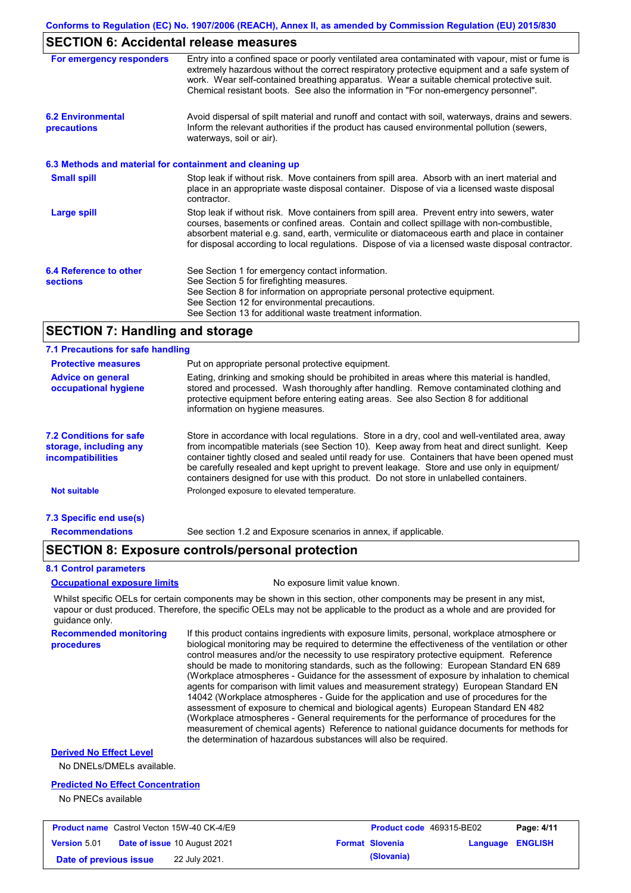### **SECTION 6: Accidental release measures**

| For emergency responders                                 | Entry into a confined space or poorly ventilated area contaminated with vapour, mist or fume is<br>extremely hazardous without the correct respiratory protective equipment and a safe system of<br>work. Wear self-contained breathing apparatus. Wear a suitable chemical protective suit.<br>Chemical resistant boots. See also the information in "For non-emergency personnel".           |
|----------------------------------------------------------|------------------------------------------------------------------------------------------------------------------------------------------------------------------------------------------------------------------------------------------------------------------------------------------------------------------------------------------------------------------------------------------------|
| <b>6.2 Environmental</b><br>precautions                  | Avoid dispersal of spilt material and runoff and contact with soil, waterways, drains and sewers.<br>Inform the relevant authorities if the product has caused environmental pollution (sewers,<br>waterways, soil or air).                                                                                                                                                                    |
| 6.3 Methods and material for containment and cleaning up |                                                                                                                                                                                                                                                                                                                                                                                                |
| <b>Small spill</b>                                       | Stop leak if without risk. Move containers from spill area. Absorb with an inert material and<br>place in an appropriate waste disposal container. Dispose of via a licensed waste disposal<br>contractor.                                                                                                                                                                                     |
| <b>Large spill</b>                                       | Stop leak if without risk. Move containers from spill area. Prevent entry into sewers, water<br>courses, basements or confined areas. Contain and collect spillage with non-combustible,<br>absorbent material e.g. sand, earth, vermiculite or diatomaceous earth and place in container<br>for disposal according to local regulations. Dispose of via a licensed waste disposal contractor. |
| 6.4 Reference to other<br><b>sections</b>                | See Section 1 for emergency contact information.<br>See Section 5 for firefighting measures.                                                                                                                                                                                                                                                                                                   |
|                                                          | See Section 8 for information on appropriate personal protective equipment.                                                                                                                                                                                                                                                                                                                    |
|                                                          | See Section 12 for environmental precautions.<br>See Section 13 for additional waste treatment information.                                                                                                                                                                                                                                                                                    |

### **SECTION 7: Handling and storage**

| 7.1 Precautions for safe handling                                                    |                                                                                                                                                                                                                                                                                                                                                                                                                                                                                          |
|--------------------------------------------------------------------------------------|------------------------------------------------------------------------------------------------------------------------------------------------------------------------------------------------------------------------------------------------------------------------------------------------------------------------------------------------------------------------------------------------------------------------------------------------------------------------------------------|
| <b>Protective measures</b>                                                           | Put on appropriate personal protective equipment.                                                                                                                                                                                                                                                                                                                                                                                                                                        |
| <b>Advice on general</b><br>occupational hygiene                                     | Eating, drinking and smoking should be prohibited in areas where this material is handled,<br>stored and processed. Wash thoroughly after handling. Remove contaminated clothing and<br>protective equipment before entering eating areas. See also Section 8 for additional<br>information on hygiene measures.                                                                                                                                                                         |
| <b>7.2 Conditions for safe</b><br>storage, including any<br><i>incompatibilities</i> | Store in accordance with local regulations. Store in a dry, cool and well-ventilated area, away<br>from incompatible materials (see Section 10). Keep away from heat and direct sunlight. Keep<br>container tightly closed and sealed until ready for use. Containers that have been opened must<br>be carefully resealed and kept upright to prevent leakage. Store and use only in equipment/<br>containers designed for use with this product. Do not store in unlabelled containers. |
| <b>Not suitable</b>                                                                  | Prolonged exposure to elevated temperature.                                                                                                                                                                                                                                                                                                                                                                                                                                              |
| 7.3 Specific end use(s)                                                              |                                                                                                                                                                                                                                                                                                                                                                                                                                                                                          |
| <b>Recommendations</b>                                                               | See section 1.2 and Exposure scenarios in annex, if applicable.                                                                                                                                                                                                                                                                                                                                                                                                                          |

### **SECTION 8: Exposure controls/personal protection**

#### **8.1 Control parameters**

#### **Occupational exposure limits** No exposure limit value known.

Whilst specific OELs for certain components may be shown in this section, other components may be present in any mist, vapour or dust produced. Therefore, the specific OELs may not be applicable to the product as a whole and are provided for guidance only.

**Recommended monitoring procedures** If this product contains ingredients with exposure limits, personal, workplace atmosphere or biological monitoring may be required to determine the effectiveness of the ventilation or other control measures and/or the necessity to use respiratory protective equipment. Reference should be made to monitoring standards, such as the following: European Standard EN 689 (Workplace atmospheres - Guidance for the assessment of exposure by inhalation to chemical agents for comparison with limit values and measurement strategy) European Standard EN 14042 (Workplace atmospheres - Guide for the application and use of procedures for the assessment of exposure to chemical and biological agents) European Standard EN 482 (Workplace atmospheres - General requirements for the performance of procedures for the measurement of chemical agents) Reference to national guidance documents for methods for the determination of hazardous substances will also be required.

### **Derived No Effect Level**

No DNELs/DMELs available.

#### **Predicted No Effect Concentration**

No PNECs available

| <b>Product name</b> Castrol Vecton 15W-40 CK-4/E9 |                                     | <b>Product code</b> 469315-BE02 |                  | Page: 4/11 |
|---------------------------------------------------|-------------------------------------|---------------------------------|------------------|------------|
| <b>Version 5.01</b>                               | <b>Date of issue 10 August 2021</b> | <b>Format Slovenia</b>          | Language ENGLISH |            |
| Date of previous issue                            | 22 July 2021.                       | (Slovania)                      |                  |            |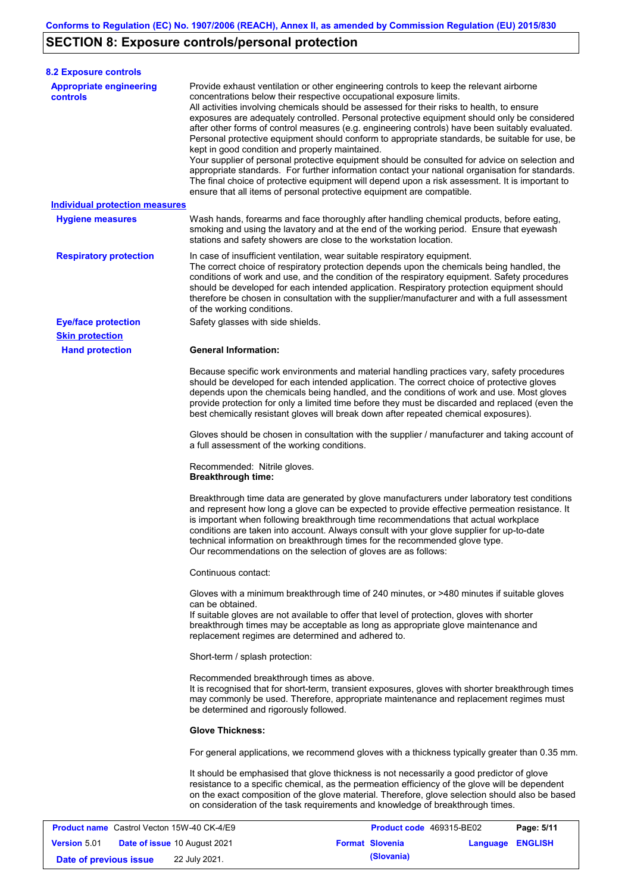# **SECTION 8: Exposure controls/personal protection**

**Version** 5.01

| <b>8.2 Exposure controls</b>                      |                                                                                                                                                                                                                                                                                                                                                                                                                                                                                                                                                                                                                                                                                                                                                                                                                                                                                                                                                                                                         |            |  |  |  |  |
|---------------------------------------------------|---------------------------------------------------------------------------------------------------------------------------------------------------------------------------------------------------------------------------------------------------------------------------------------------------------------------------------------------------------------------------------------------------------------------------------------------------------------------------------------------------------------------------------------------------------------------------------------------------------------------------------------------------------------------------------------------------------------------------------------------------------------------------------------------------------------------------------------------------------------------------------------------------------------------------------------------------------------------------------------------------------|------------|--|--|--|--|
| <b>Appropriate engineering</b><br><b>controls</b> | Provide exhaust ventilation or other engineering controls to keep the relevant airborne<br>concentrations below their respective occupational exposure limits.<br>All activities involving chemicals should be assessed for their risks to health, to ensure<br>exposures are adequately controlled. Personal protective equipment should only be considered<br>after other forms of control measures (e.g. engineering controls) have been suitably evaluated.<br>Personal protective equipment should conform to appropriate standards, be suitable for use, be<br>kept in good condition and properly maintained.<br>Your supplier of personal protective equipment should be consulted for advice on selection and<br>appropriate standards. For further information contact your national organisation for standards.<br>The final choice of protective equipment will depend upon a risk assessment. It is important to<br>ensure that all items of personal protective equipment are compatible. |            |  |  |  |  |
| <b>Individual protection measures</b>             |                                                                                                                                                                                                                                                                                                                                                                                                                                                                                                                                                                                                                                                                                                                                                                                                                                                                                                                                                                                                         |            |  |  |  |  |
| <b>Hygiene measures</b>                           | Wash hands, forearms and face thoroughly after handling chemical products, before eating,<br>smoking and using the lavatory and at the end of the working period. Ensure that eyewash<br>stations and safety showers are close to the workstation location.                                                                                                                                                                                                                                                                                                                                                                                                                                                                                                                                                                                                                                                                                                                                             |            |  |  |  |  |
| <b>Respiratory protection</b>                     | In case of insufficient ventilation, wear suitable respiratory equipment.<br>The correct choice of respiratory protection depends upon the chemicals being handled, the<br>conditions of work and use, and the condition of the respiratory equipment. Safety procedures<br>should be developed for each intended application. Respiratory protection equipment should<br>therefore be chosen in consultation with the supplier/manufacturer and with a full assessment<br>of the working conditions.                                                                                                                                                                                                                                                                                                                                                                                                                                                                                                   |            |  |  |  |  |
| <b>Eye/face protection</b>                        | Safety glasses with side shields.                                                                                                                                                                                                                                                                                                                                                                                                                                                                                                                                                                                                                                                                                                                                                                                                                                                                                                                                                                       |            |  |  |  |  |
| <b>Skin protection</b>                            |                                                                                                                                                                                                                                                                                                                                                                                                                                                                                                                                                                                                                                                                                                                                                                                                                                                                                                                                                                                                         |            |  |  |  |  |
| <b>Hand protection</b>                            | <b>General Information:</b><br>Because specific work environments and material handling practices vary, safety procedures<br>should be developed for each intended application. The correct choice of protective gloves<br>depends upon the chemicals being handled, and the conditions of work and use. Most gloves<br>provide protection for only a limited time before they must be discarded and replaced (even the<br>best chemically resistant gloves will break down after repeated chemical exposures).                                                                                                                                                                                                                                                                                                                                                                                                                                                                                         |            |  |  |  |  |
|                                                   | Gloves should be chosen in consultation with the supplier / manufacturer and taking account of<br>a full assessment of the working conditions.                                                                                                                                                                                                                                                                                                                                                                                                                                                                                                                                                                                                                                                                                                                                                                                                                                                          |            |  |  |  |  |
|                                                   | Recommended: Nitrile gloves.<br><b>Breakthrough time:</b>                                                                                                                                                                                                                                                                                                                                                                                                                                                                                                                                                                                                                                                                                                                                                                                                                                                                                                                                               |            |  |  |  |  |
|                                                   | Breakthrough time data are generated by glove manufacturers under laboratory test conditions<br>and represent how long a glove can be expected to provide effective permeation resistance. It<br>is important when following breakthrough time recommendations that actual workplace<br>conditions are taken into account. Always consult with your glove supplier for up-to-date<br>technical information on breakthrough times for the recommended glove type.<br>Our recommendations on the selection of gloves are as follows:                                                                                                                                                                                                                                                                                                                                                                                                                                                                      |            |  |  |  |  |
|                                                   | Continuous contact:                                                                                                                                                                                                                                                                                                                                                                                                                                                                                                                                                                                                                                                                                                                                                                                                                                                                                                                                                                                     |            |  |  |  |  |
|                                                   | Gloves with a minimum breakthrough time of 240 minutes, or >480 minutes if suitable gloves<br>can be obtained.<br>If suitable gloves are not available to offer that level of protection, gloves with shorter<br>breakthrough times may be acceptable as long as appropriate glove maintenance and<br>replacement regimes are determined and adhered to.                                                                                                                                                                                                                                                                                                                                                                                                                                                                                                                                                                                                                                                |            |  |  |  |  |
|                                                   | Short-term / splash protection:                                                                                                                                                                                                                                                                                                                                                                                                                                                                                                                                                                                                                                                                                                                                                                                                                                                                                                                                                                         |            |  |  |  |  |
|                                                   | Recommended breakthrough times as above.<br>It is recognised that for short-term, transient exposures, gloves with shorter breakthrough times<br>may commonly be used. Therefore, appropriate maintenance and replacement regimes must<br>be determined and rigorously followed.                                                                                                                                                                                                                                                                                                                                                                                                                                                                                                                                                                                                                                                                                                                        |            |  |  |  |  |
|                                                   | <b>Glove Thickness:</b>                                                                                                                                                                                                                                                                                                                                                                                                                                                                                                                                                                                                                                                                                                                                                                                                                                                                                                                                                                                 |            |  |  |  |  |
|                                                   | For general applications, we recommend gloves with a thickness typically greater than 0.35 mm.                                                                                                                                                                                                                                                                                                                                                                                                                                                                                                                                                                                                                                                                                                                                                                                                                                                                                                          |            |  |  |  |  |
|                                                   | It should be emphasised that glove thickness is not necessarily a good predictor of glove<br>resistance to a specific chemical, as the permeation efficiency of the glove will be dependent<br>on the exact composition of the glove material. Therefore, glove selection should also be based<br>on consideration of the task requirements and knowledge of breakthrough times.                                                                                                                                                                                                                                                                                                                                                                                                                                                                                                                                                                                                                        |            |  |  |  |  |
| <b>Product name</b> Castrol Vecton 15W-40 CK-4/E9 | Product code 469315-BE02                                                                                                                                                                                                                                                                                                                                                                                                                                                                                                                                                                                                                                                                                                                                                                                                                                                                                                                                                                                | Page: 5/11 |  |  |  |  |

**Date of issue** 10 August 2021 **Format Slovenia Language ENGLISH**

**Date of previous issue** 22 July 2021.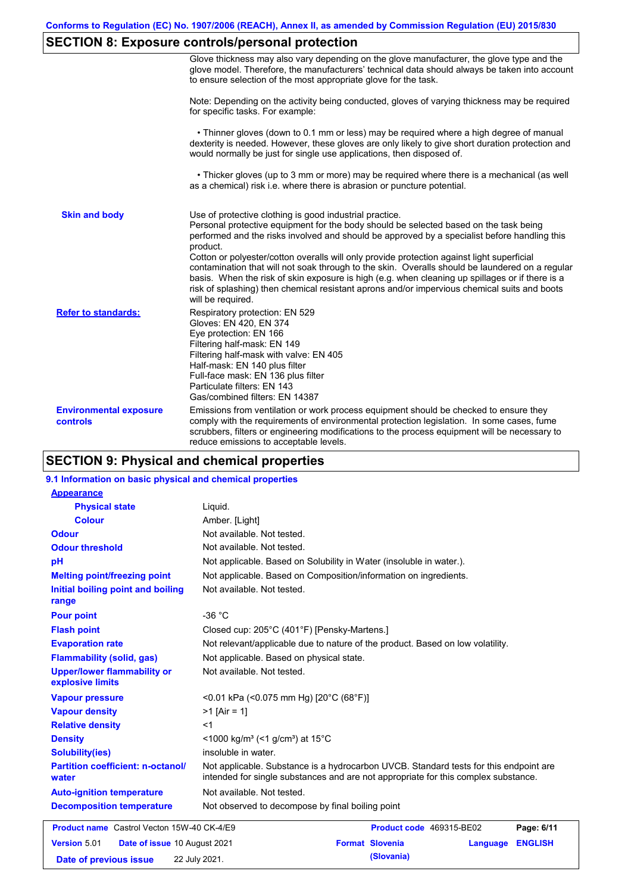# **SECTION 8: Exposure controls/personal protection**

|                                           | Glove thickness may also vary depending on the glove manufacturer, the glove type and the<br>glove model. Therefore, the manufacturers' technical data should always be taken into account<br>to ensure selection of the most appropriate glove for the task.                                                                                                                                                                                                                                                                                                                                                                                                                         |
|-------------------------------------------|---------------------------------------------------------------------------------------------------------------------------------------------------------------------------------------------------------------------------------------------------------------------------------------------------------------------------------------------------------------------------------------------------------------------------------------------------------------------------------------------------------------------------------------------------------------------------------------------------------------------------------------------------------------------------------------|
|                                           | Note: Depending on the activity being conducted, gloves of varying thickness may be required<br>for specific tasks. For example:                                                                                                                                                                                                                                                                                                                                                                                                                                                                                                                                                      |
|                                           | • Thinner gloves (down to 0.1 mm or less) may be required where a high degree of manual<br>dexterity is needed. However, these gloves are only likely to give short duration protection and<br>would normally be just for single use applications, then disposed of.                                                                                                                                                                                                                                                                                                                                                                                                                  |
|                                           | • Thicker gloves (up to 3 mm or more) may be required where there is a mechanical (as well<br>as a chemical) risk i.e. where there is abrasion or puncture potential.                                                                                                                                                                                                                                                                                                                                                                                                                                                                                                                 |
| <b>Skin and body</b>                      | Use of protective clothing is good industrial practice.<br>Personal protective equipment for the body should be selected based on the task being<br>performed and the risks involved and should be approved by a specialist before handling this<br>product.<br>Cotton or polyester/cotton overalls will only provide protection against light superficial<br>contamination that will not soak through to the skin. Overalls should be laundered on a regular<br>basis. When the risk of skin exposure is high (e.g. when cleaning up spillages or if there is a<br>risk of splashing) then chemical resistant aprons and/or impervious chemical suits and boots<br>will be required. |
| <b>Refer to standards:</b>                | Respiratory protection: EN 529<br>Gloves: EN 420, EN 374<br>Eye protection: EN 166<br>Filtering half-mask: EN 149<br>Filtering half-mask with valve: EN 405<br>Half-mask: EN 140 plus filter<br>Full-face mask: EN 136 plus filter<br>Particulate filters: EN 143<br>Gas/combined filters: EN 14387                                                                                                                                                                                                                                                                                                                                                                                   |
| <b>Environmental exposure</b><br>controls | Emissions from ventilation or work process equipment should be checked to ensure they<br>comply with the requirements of environmental protection legislation. In some cases, fume<br>scrubbers, filters or engineering modifications to the process equipment will be necessary to<br>reduce emissions to acceptable levels.                                                                                                                                                                                                                                                                                                                                                         |

# **SECTION 9: Physical and chemical properties**

### **9.1 Information on basic physical and chemical properties**

| <b>Appearance</b>                                      |                                                                                                                                                                             |  |  |  |  |
|--------------------------------------------------------|-----------------------------------------------------------------------------------------------------------------------------------------------------------------------------|--|--|--|--|
| <b>Physical state</b>                                  | Liquid.                                                                                                                                                                     |  |  |  |  |
| <b>Colour</b>                                          | Amber. [Light]                                                                                                                                                              |  |  |  |  |
| <b>Odour</b>                                           | Not available. Not tested.                                                                                                                                                  |  |  |  |  |
| <b>Odour threshold</b>                                 | Not available. Not tested.                                                                                                                                                  |  |  |  |  |
| pH                                                     | Not applicable. Based on Solubility in Water (insoluble in water.).                                                                                                         |  |  |  |  |
| <b>Melting point/freezing point</b>                    | Not applicable. Based on Composition/information on ingredients.                                                                                                            |  |  |  |  |
| Initial boiling point and boiling<br>range             | Not available. Not tested.                                                                                                                                                  |  |  |  |  |
| <b>Pour point</b>                                      | $-36 °C$                                                                                                                                                                    |  |  |  |  |
| <b>Flash point</b>                                     | Closed cup: 205°C (401°F) [Pensky-Martens.]                                                                                                                                 |  |  |  |  |
| <b>Evaporation rate</b>                                | Not relevant/applicable due to nature of the product. Based on low volatility.                                                                                              |  |  |  |  |
| <b>Flammability (solid, gas)</b>                       | Not applicable. Based on physical state.                                                                                                                                    |  |  |  |  |
| <b>Upper/lower flammability or</b><br>explosive limits | Not available. Not tested.                                                                                                                                                  |  |  |  |  |
| <b>Vapour pressure</b>                                 | <0.01 kPa (<0.075 mm Hg) [20°C (68°F)]                                                                                                                                      |  |  |  |  |
| <b>Vapour density</b>                                  | $>1$ [Air = 1]                                                                                                                                                              |  |  |  |  |
| <b>Relative density</b>                                | $<$ 1                                                                                                                                                                       |  |  |  |  |
| <b>Density</b>                                         | <1000 kg/m <sup>3</sup> (<1 g/cm <sup>3</sup> ) at 15 <sup>°</sup> C                                                                                                        |  |  |  |  |
| <b>Solubility(ies)</b>                                 | insoluble in water.                                                                                                                                                         |  |  |  |  |
| <b>Partition coefficient: n-octanol/</b><br>water      | Not applicable. Substance is a hydrocarbon UVCB. Standard tests for this endpoint are<br>intended for single substances and are not appropriate for this complex substance. |  |  |  |  |
| <b>Auto-ignition temperature</b>                       | Not available. Not tested.                                                                                                                                                  |  |  |  |  |
| <b>Decomposition temperature</b>                       | Not observed to decompose by final boiling point                                                                                                                            |  |  |  |  |
| <b>Product name</b> Castrol Vecton 15W-40 CK-4/E9      | Product code 469315-BE02<br>Page: 6/11                                                                                                                                      |  |  |  |  |
| Version 5.01<br>Date of issue 10 August 2021           | <b>Format Slovenia</b><br><b>ENGLISH</b><br>Language                                                                                                                        |  |  |  |  |
| Date of previous issue                                 | (Slovania)<br>22 July 2021.                                                                                                                                                 |  |  |  |  |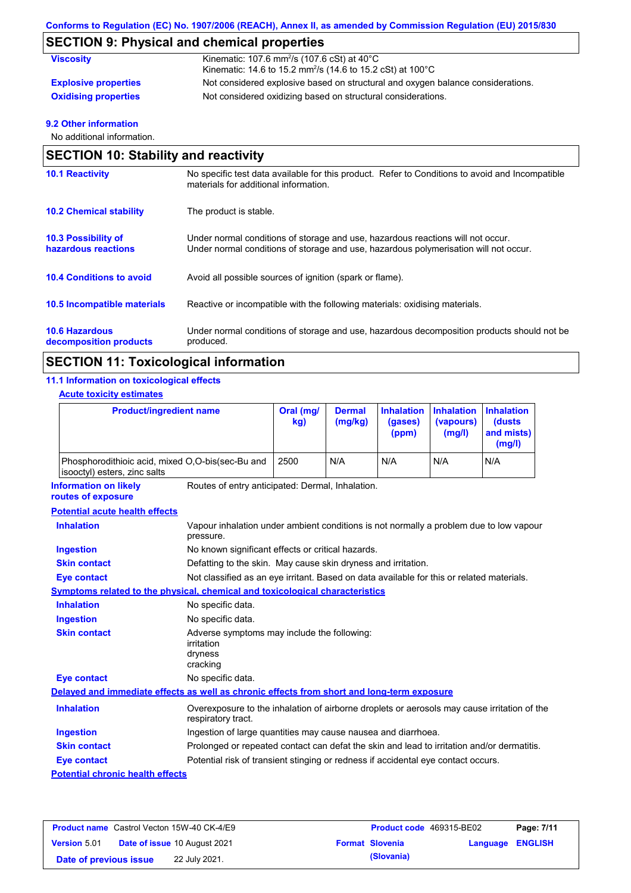# **SECTION 9: Physical and chemical properties**

| <b>Viscosity</b>            | Kinematic: 107.6 mm <sup>2</sup> /s (107.6 cSt) at $40^{\circ}$ C<br>Kinematic: 14.6 to 15.2 mm <sup>2</sup> /s (14.6 to 15.2 cSt) at 100°C |
|-----------------------------|---------------------------------------------------------------------------------------------------------------------------------------------|
| <b>Explosive properties</b> | Not considered explosive based on structural and oxygen balance considerations.                                                             |
| <b>Oxidising properties</b> | Not considered oxidizing based on structural considerations.                                                                                |

### **9.2 Other information**

No additional information.

| <b>SECTION 10: Stability and reactivity</b>       |                                                                                                                                                                         |  |  |  |
|---------------------------------------------------|-------------------------------------------------------------------------------------------------------------------------------------------------------------------------|--|--|--|
| <b>10.1 Reactivity</b>                            | No specific test data available for this product. Refer to Conditions to avoid and Incompatible<br>materials for additional information.                                |  |  |  |
| <b>10.2 Chemical stability</b>                    | The product is stable.                                                                                                                                                  |  |  |  |
| <b>10.3 Possibility of</b><br>hazardous reactions | Under normal conditions of storage and use, hazardous reactions will not occur.<br>Under normal conditions of storage and use, hazardous polymerisation will not occur. |  |  |  |
| <b>10.4 Conditions to avoid</b>                   | Avoid all possible sources of ignition (spark or flame).                                                                                                                |  |  |  |
| 10.5 Incompatible materials                       | Reactive or incompatible with the following materials: oxidising materials.                                                                                             |  |  |  |
| <b>10.6 Hazardous</b><br>decomposition products   | Under normal conditions of storage and use, hazardous decomposition products should not be<br>produced.                                                                 |  |  |  |

# **SECTION 11: Toxicological information**

### **11.1 Information on toxicological effects**

| <b>Product/ingredient name</b><br>Phosphorodithioic acid, mixed O,O-bis(sec-Bu and<br>isooctyl) esters, zinc salts |                                                                                                                   | Oral (mg/<br>kg)                                              | <b>Dermal</b><br>(mg/kg) | <b>Inhalation</b><br>(gases)<br>(ppm) | <b>Inhalation</b><br>(vapours)<br>(mg/l)<br>N/A | <b>Inhalation</b><br>(dusts<br>and mists)<br>(mg/l)<br>N/A |
|--------------------------------------------------------------------------------------------------------------------|-------------------------------------------------------------------------------------------------------------------|---------------------------------------------------------------|--------------------------|---------------------------------------|-------------------------------------------------|------------------------------------------------------------|
|                                                                                                                    |                                                                                                                   | 2500                                                          | N/A                      | N/A                                   |                                                 |                                                            |
| <b>Information on likely</b><br>routes of exposure                                                                 | Routes of entry anticipated: Dermal, Inhalation.                                                                  |                                                               |                          |                                       |                                                 |                                                            |
| <b>Potential acute health effects</b>                                                                              |                                                                                                                   |                                                               |                          |                                       |                                                 |                                                            |
| <b>Inhalation</b>                                                                                                  | Vapour inhalation under ambient conditions is not normally a problem due to low vapour<br>pressure.               |                                                               |                          |                                       |                                                 |                                                            |
| <b>Ingestion</b>                                                                                                   |                                                                                                                   | No known significant effects or critical hazards.             |                          |                                       |                                                 |                                                            |
| <b>Skin contact</b>                                                                                                |                                                                                                                   | Defatting to the skin. May cause skin dryness and irritation. |                          |                                       |                                                 |                                                            |
| <b>Eye contact</b>                                                                                                 | Not classified as an eye irritant. Based on data available for this or related materials.                         |                                                               |                          |                                       |                                                 |                                                            |
| <b>Symptoms related to the physical, chemical and toxicological characteristics</b>                                |                                                                                                                   |                                                               |                          |                                       |                                                 |                                                            |
| <b>Inhalation</b>                                                                                                  | No specific data.                                                                                                 |                                                               |                          |                                       |                                                 |                                                            |
| <b>Ingestion</b>                                                                                                   | No specific data.                                                                                                 |                                                               |                          |                                       |                                                 |                                                            |
| <b>Skin contact</b>                                                                                                | Adverse symptoms may include the following:<br>irritation<br>dryness<br>cracking                                  |                                                               |                          |                                       |                                                 |                                                            |
| <b>Eye contact</b>                                                                                                 | No specific data.                                                                                                 |                                                               |                          |                                       |                                                 |                                                            |
| Delayed and immediate effects as well as chronic effects from short and long-term exposure                         |                                                                                                                   |                                                               |                          |                                       |                                                 |                                                            |
| <b>Inhalation</b>                                                                                                  | Overexposure to the inhalation of airborne droplets or aerosols may cause irritation of the<br>respiratory tract. |                                                               |                          |                                       |                                                 |                                                            |
| <b>Ingestion</b>                                                                                                   | Ingestion of large quantities may cause nausea and diarrhoea.                                                     |                                                               |                          |                                       |                                                 |                                                            |
| <b>Skin contact</b>                                                                                                | Prolonged or repeated contact can defat the skin and lead to irritation and/or dermatitis.                        |                                                               |                          |                                       |                                                 |                                                            |
| <b>Eye contact</b>                                                                                                 | Potential risk of transient stinging or redness if accidental eye contact occurs.                                 |                                                               |                          |                                       |                                                 |                                                            |
| <b>Potential chronic health effects</b>                                                                            |                                                                                                                   |                                                               |                          |                                       |                                                 |                                                            |

| <b>Product name</b> Castrol Vecton 15W-40 CK-4/E9 |  |                                     | <b>Product code</b> 469315-BE02 |                        | Page: 7/11              |  |
|---------------------------------------------------|--|-------------------------------------|---------------------------------|------------------------|-------------------------|--|
| <b>Version 5.01</b>                               |  | <b>Date of issue 10 August 2021</b> |                                 | <b>Format Slovenia</b> | <b>Language ENGLISH</b> |  |
| Date of previous issue                            |  | 22 July 2021.                       |                                 | (Slovania)             |                         |  |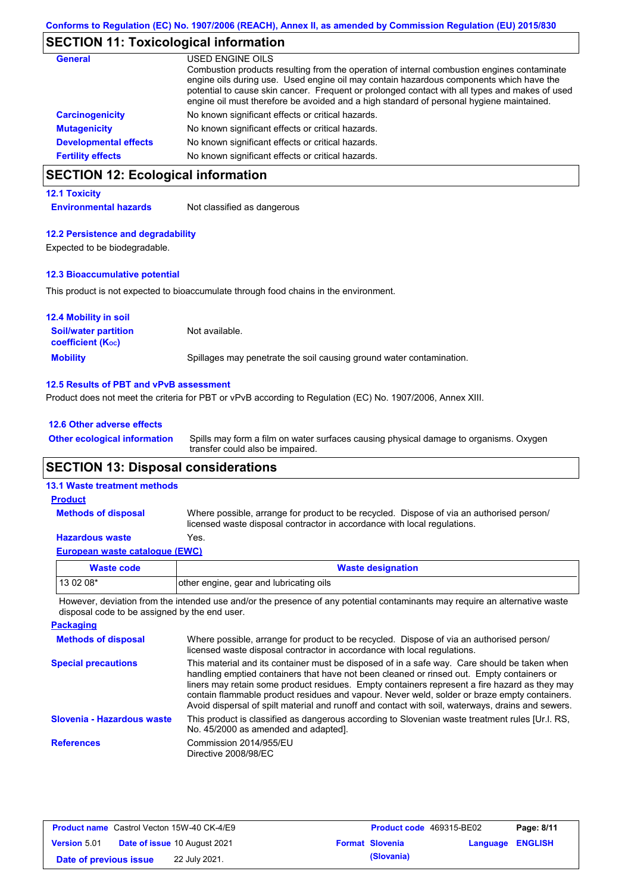# **SECTION 11: Toxicological information**

| <b>General</b>               | USED ENGINE OILS<br>Combustion products resulting from the operation of internal combustion engines contaminate<br>engine oils during use. Used engine oil may contain hazardous components which have the<br>potential to cause skin cancer. Frequent or prolonged contact with all types and makes of used |
|------------------------------|--------------------------------------------------------------------------------------------------------------------------------------------------------------------------------------------------------------------------------------------------------------------------------------------------------------|
|                              | engine oil must therefore be avoided and a high standard of personal hygiene maintained.                                                                                                                                                                                                                     |
| <b>Carcinogenicity</b>       | No known significant effects or critical hazards.                                                                                                                                                                                                                                                            |
| <b>Mutagenicity</b>          | No known significant effects or critical hazards.                                                                                                                                                                                                                                                            |
| <b>Developmental effects</b> | No known significant effects or critical hazards.                                                                                                                                                                                                                                                            |
| <b>Fertility effects</b>     | No known significant effects or critical hazards.                                                                                                                                                                                                                                                            |

# **SECTION 12: Ecological information**

#### **12.1 Toxicity**

**Environmental hazards** Not classified as dangerous

#### **12.2 Persistence and degradability**

Expected to be biodegradable.

#### **12.3 Bioaccumulative potential**

This product is not expected to bioaccumulate through food chains in the environment.

| <b>12.4 Mobility in soil</b>                                  |                                                                      |
|---------------------------------------------------------------|----------------------------------------------------------------------|
| <b>Soil/water partition</b><br>coefficient (K <sub>oc</sub> ) | Not available.                                                       |
| <b>Mobility</b>                                               | Spillages may penetrate the soil causing ground water contamination. |

#### **12.5 Results of PBT and vPvB assessment**

Product does not meet the criteria for PBT or vPvB according to Regulation (EC) No. 1907/2006, Annex XIII.

#### **12.6 Other adverse effects**

Spills may form a film on water surfaces causing physical damage to organisms. Oxygen transfer could also be impaired. **Other ecological information**

### **SECTION 13: Disposal considerations**

### **13.1 Waste treatment methods**

**Methods of disposal**

#### **Product**

Where possible, arrange for product to be recycled. Dispose of via an authorised person/ licensed waste disposal contractor in accordance with local regulations.

### **Hazardous waste** Yes.

| Waste code | <b>Waste designation</b>                                   |  |  |  |  |  |  |
|------------|------------------------------------------------------------|--|--|--|--|--|--|
| 13 02 08*  | other engine, gear and lubricating oils                    |  |  |  |  |  |  |
| .<br>.     | $\sim$ $\sim$ $\sim$ $\sim$ $\sim$ $\sim$ $\sim$<br>.<br>. |  |  |  |  |  |  |

However, deviation from the intended use and/or the presence of any potential contaminants may require an alternative waste disposal code to be assigned by the end user.

| <b>Packaging</b>           |                                                                                                                                                                                                                                                                                                                                                                                                                                                                                                 |
|----------------------------|-------------------------------------------------------------------------------------------------------------------------------------------------------------------------------------------------------------------------------------------------------------------------------------------------------------------------------------------------------------------------------------------------------------------------------------------------------------------------------------------------|
| <b>Methods of disposal</b> | Where possible, arrange for product to be recycled. Dispose of via an authorised person/<br>licensed waste disposal contractor in accordance with local regulations.                                                                                                                                                                                                                                                                                                                            |
| <b>Special precautions</b> | This material and its container must be disposed of in a safe way. Care should be taken when<br>handling emptied containers that have not been cleaned or rinsed out. Empty containers or<br>liners may retain some product residues. Empty containers represent a fire hazard as they may<br>contain flammable product residues and vapour. Never weld, solder or braze empty containers.<br>Avoid dispersal of spilt material and runoff and contact with soil, waterways, drains and sewers. |
| Slovenia - Hazardous waste | This product is classified as dangerous according to Slovenian waste treatment rules [Ur.l. RS,<br>No. 45/2000 as amended and adapted.                                                                                                                                                                                                                                                                                                                                                          |
| <b>References</b>          | Commission 2014/955/EU<br>Directive 2008/98/EC                                                                                                                                                                                                                                                                                                                                                                                                                                                  |

| <b>Product name</b> Castrol Vecton 15W-40 CK-4/E9 |  | <b>Product code</b> 469315-BE02     |  | Page: 8/11             |                  |  |
|---------------------------------------------------|--|-------------------------------------|--|------------------------|------------------|--|
| <b>Version 5.01</b>                               |  | <b>Date of issue 10 August 2021</b> |  | <b>Format Slovenia</b> | Language ENGLISH |  |
| Date of previous issue                            |  | 22 July 2021.                       |  | (Slovania)             |                  |  |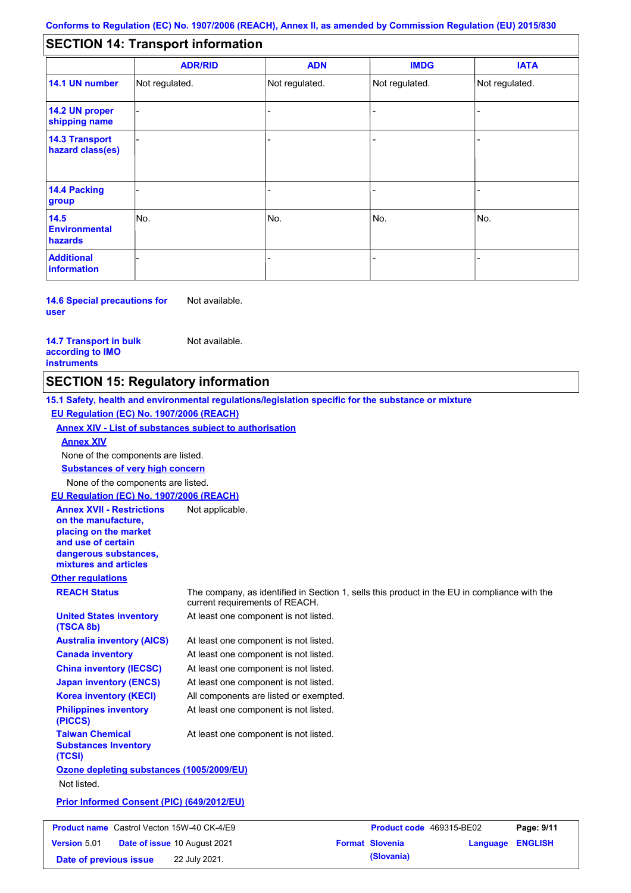#### - - - - - - - - - Not regulated. Not regulated. Not regulated. - - - **SECTION 14: Transport information ADR/RID IMDG IATA 14.1 UN number 14.2 UN proper shipping name 14.3 Transport hazard class(es) 14.4 Packing group ADN Additional information 14.5 Environmental hazards** No. 1988 | No. 1989 | No. 1989 | No. 1989 | No. 1989 | No. 1989 | No. 1989 | No. 1989 | No. 1989 | No. 1989 | Not regulated. - -<br>No. - -

**14.6 Special precautions for user** Not available.

**14.7 Transport in bulk according to IMO instruments**

Not available.

# **SECTION 15: Regulatory information**

**Other regulations REACH Status** The company, as identified in Section 1, sells this product in the EU in compliance with the current requirements of REACH. **15.1 Safety, health and environmental regulations/legislation specific for the substance or mixture EU Regulation (EC) No. 1907/2006 (REACH) Annex XIV - List of substances subject to authorisation Substances of very high concern** None of the components are listed. At least one component is not listed. At least one component is not listed. At least one component is not listed. At least one component is not listed. At least one component is not listed. All components are listed or exempted. At least one component is not listed. **United States inventory (TSCA 8b) Australia inventory (AICS) Canada inventory China inventory (IECSC) Japan inventory (ENCS) Korea inventory (KECI) Philippines inventory (PICCS) Taiwan Chemical Substances Inventory (TCSI)** At least one component is not listed. **Ozone depleting substances (1005/2009/EU)** Not listed. **Prior Informed Consent (PIC) (649/2012/EU)** None of the components are listed. **Annex XIV EU Regulation (EC) No. 1907/2006 (REACH) Annex XVII - Restrictions on the manufacture, placing on the market and use of certain dangerous substances, mixtures and articles** Not applicable. **Product name** Castrol Vecton 15W-40 CK-4/E9 **Product Code 469315-BE02 Page: 9/11 Version** 5.01 **Date of issue** 10 August 2021 **Format Slovenia Language ENGLISH**

**Date of previous issue (Slovania)** 22 July 2021.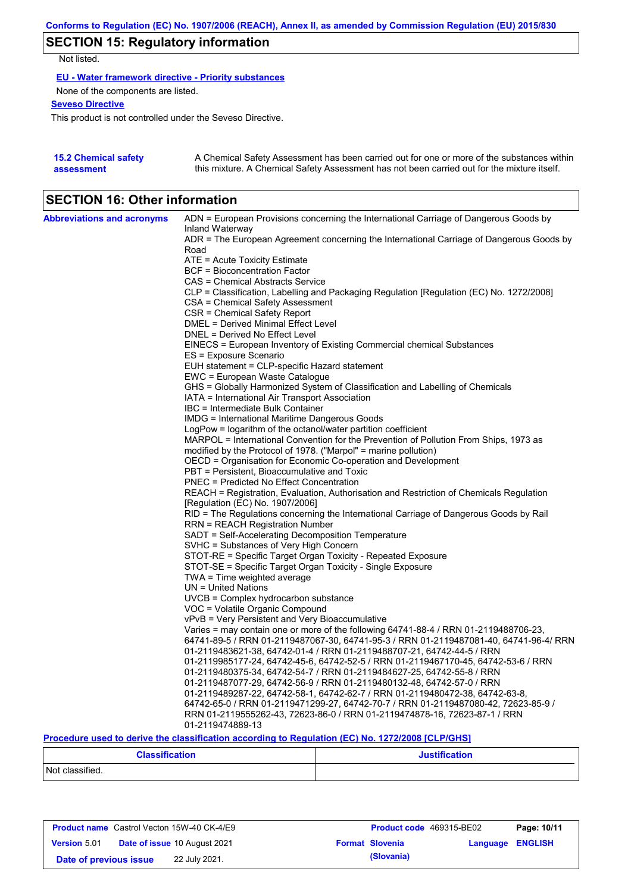# **SECTION 15: Regulatory information**

Not listed.

**EU - Water framework directive - Priority substances**

None of the components are listed.

**Seveso Directive**

This product is not controlled under the Seveso Directive.

| <b>15.2 Chemical safety</b> | A Chemical Safety Assessment has been carried out for one or more of the substances within  |
|-----------------------------|---------------------------------------------------------------------------------------------|
| assessment                  | this mixture. A Chemical Safety Assessment has not been carried out for the mixture itself. |

# **SECTION 16: Other information**

| <b>Abbreviations and acronyms</b> | ADN = European Provisions concerning the International Carriage of Dangerous Goods by                                                                                         |
|-----------------------------------|-------------------------------------------------------------------------------------------------------------------------------------------------------------------------------|
|                                   | Inland Waterway                                                                                                                                                               |
|                                   | ADR = The European Agreement concerning the International Carriage of Dangerous Goods by<br>Road                                                                              |
|                                   | ATE = Acute Toxicity Estimate                                                                                                                                                 |
|                                   | <b>BCF</b> = Bioconcentration Factor                                                                                                                                          |
|                                   | CAS = Chemical Abstracts Service                                                                                                                                              |
|                                   | CLP = Classification, Labelling and Packaging Regulation [Regulation (EC) No. 1272/2008]                                                                                      |
|                                   | CSA = Chemical Safety Assessment                                                                                                                                              |
|                                   | CSR = Chemical Safety Report                                                                                                                                                  |
|                                   | DMEL = Derived Minimal Effect Level                                                                                                                                           |
|                                   | DNEL = Derived No Effect Level                                                                                                                                                |
|                                   | EINECS = European Inventory of Existing Commercial chemical Substances                                                                                                        |
|                                   | ES = Exposure Scenario                                                                                                                                                        |
|                                   | EUH statement = CLP-specific Hazard statement                                                                                                                                 |
|                                   | EWC = European Waste Catalogue                                                                                                                                                |
|                                   | GHS = Globally Harmonized System of Classification and Labelling of Chemicals                                                                                                 |
|                                   | IATA = International Air Transport Association                                                                                                                                |
|                                   | IBC = Intermediate Bulk Container                                                                                                                                             |
|                                   | IMDG = International Maritime Dangerous Goods                                                                                                                                 |
|                                   | LogPow = logarithm of the octanol/water partition coefficient                                                                                                                 |
|                                   | MARPOL = International Convention for the Prevention of Pollution From Ships, 1973 as                                                                                         |
|                                   | modified by the Protocol of 1978. ("Marpol" = marine pollution)                                                                                                               |
|                                   | OECD = Organisation for Economic Co-operation and Development                                                                                                                 |
|                                   | PBT = Persistent, Bioaccumulative and Toxic                                                                                                                                   |
|                                   | PNEC = Predicted No Effect Concentration                                                                                                                                      |
|                                   | REACH = Registration, Evaluation, Authorisation and Restriction of Chemicals Regulation                                                                                       |
|                                   | [Regulation (EC) No. 1907/2006]                                                                                                                                               |
|                                   | RID = The Regulations concerning the International Carriage of Dangerous Goods by Rail                                                                                        |
|                                   | RRN = REACH Registration Number                                                                                                                                               |
|                                   | SADT = Self-Accelerating Decomposition Temperature                                                                                                                            |
|                                   | SVHC = Substances of Very High Concern                                                                                                                                        |
|                                   | STOT-RE = Specific Target Organ Toxicity - Repeated Exposure                                                                                                                  |
|                                   | STOT-SE = Specific Target Organ Toxicity - Single Exposure                                                                                                                    |
|                                   | TWA = Time weighted average                                                                                                                                                   |
|                                   | $UN = United Nations$                                                                                                                                                         |
|                                   | $UVCB = Complex\ hydrocarbon\ substance$                                                                                                                                      |
|                                   | VOC = Volatile Organic Compound                                                                                                                                               |
|                                   | vPvB = Very Persistent and Very Bioaccumulative                                                                                                                               |
|                                   | Varies = may contain one or more of the following 64741-88-4 / RRN 01-2119488706-23,<br>64741-89-5 / RRN 01-2119487067-30, 64741-95-3 / RRN 01-2119487081-40, 64741-96-4/ RRN |
|                                   | 01-2119483621-38, 64742-01-4 / RRN 01-2119488707-21, 64742-44-5 / RRN                                                                                                         |
|                                   | 01-2119985177-24, 64742-45-6, 64742-52-5 / RRN 01-2119467170-45, 64742-53-6 / RRN                                                                                             |
|                                   | 01-2119480375-34, 64742-54-7 / RRN 01-2119484627-25, 64742-55-8 / RRN                                                                                                         |
|                                   | 01-2119487077-29, 64742-56-9 / RRN 01-2119480132-48, 64742-57-0 / RRN                                                                                                         |
|                                   | 01-2119489287-22, 64742-58-1, 64742-62-7 / RRN 01-2119480472-38, 64742-63-8,                                                                                                  |
|                                   | 64742-65-0 / RRN 01-2119471299-27, 64742-70-7 / RRN 01-2119487080-42, 72623-85-9 /                                                                                            |
|                                   | RRN 01-2119555262-43, 72623-86-0 / RRN 01-2119474878-16, 72623-87-1 / RRN                                                                                                     |
|                                   |                                                                                                                                                                               |

**Procedure used to derive the classification according to Regulation (EC) No. 1272/2008 [CLP/GHS]**

| <b>Classification</b> | <b>Justification</b> |  |  |
|-----------------------|----------------------|--|--|
| Not classified.       |                      |  |  |

| <b>Product name</b> Castrol Vecton 15W-40 CK-4/E9 |  | <b>Product code</b> 469315-BE02     | Page: 10/11 |                        |                         |  |
|---------------------------------------------------|--|-------------------------------------|-------------|------------------------|-------------------------|--|
| <b>Version 5.01</b>                               |  | <b>Date of issue 10 August 2021</b> |             | <b>Format Slovenia</b> | <b>Language ENGLISH</b> |  |
| Date of previous issue                            |  | 22 July 2021.                       |             | (Slovania)             |                         |  |